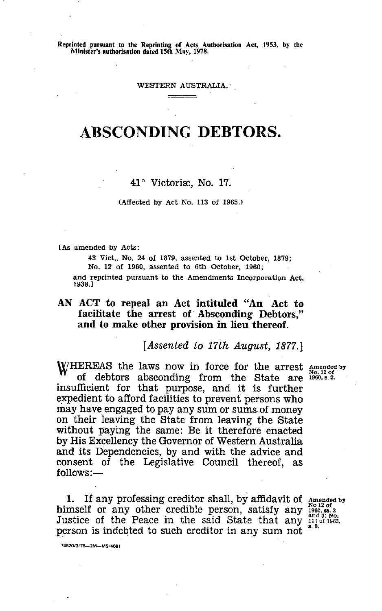**Reprinted pursuant to the Reprinting of Acts Authorisation Act, 1953, by the Minister's authorisation dated 15th May, 1978.**

WESTERN AUSTRALIA.'

# ABSCONDING DEBTORS.

## 41° Victoria, No. 17.

#### (Affected by Act No. 113 of 1965.)

f As amended by Acts:

1938.]

43 Vitt., No. 24 of 1879, assented to 1st October, 1879; No. 12 of 1960, assented to 6th October, 1960; and reprinted pursuant to the Amendments Incorporation Act,

## AN ACT to repeal an Act intituled "An Act to facilitate the arrest of Absconding Debtors," and to make other provision **in lieu thereof.**

*[Assented to 17th August, 1877.]*

WHEREAS the laws now in force for the arrest Amended by W of debtors absconding from the State are 1960, B. 2. insufficient for that purpose, and it is further expedient to afford facilities to prevent persons who may have engaged to pay any sum or sums of money on their leaving the State from leaving the State without paying the same: Be it therefore enacted by His Excellency the Governor of Western Australia and its Dependencies, by and with the advice and consent of the Legislative Council thereof, as follows:—

1. If any professing creditor shall, by affidavit of Amended by himself or any other credible person, satisfy any  $\frac{1001205}{1960,88.2}$ Justice of the Peace in the said State that any  $\frac{112}{112}$  of person is indebted to such creditor in any sum not  $^{\circ}$ .

74520/3/78-2M-MS/4681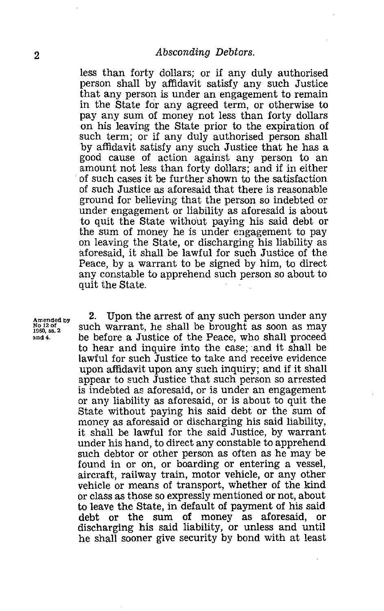*less* than forty dollars; or if any duly authorised person shall by affidavit satisfy any such Justice that any person is under an engagement to remain in the State for any agreed term, or otherwise to pay any sum of money not less than forty dollars on his leaving the State prior to the expiration of such term; or if any duly authorised person shall by affidavit satisfy any such Justice that he has a good cause of action against any person to an amount not less than forty dollars; and if in either of such cases it be further shown to the satisfaction of such Justice as aforesaid that there is reasonable ground for believing that the person so indebted or under engagement or liability as aforesaid is about to quit the State without paying his said debt or the sum of money he is under engagement to pay on leaving the State, or discharging his liability as aforesaid, it shall be lawful for such Justice of the Peace, by a warrant to be signed by him, to direct any constable to apprehend such person so about to quit the State.

**Amended by No 12 of 1960, ss. 2 and 4.**

2. Upon the arrest of any such person under any such warrant, he shall be brought as soon as may be before a Justice of the Peace, who shall proceed to hear and inquire into the case; and it shall be lawful for such Justice to take and receive evidence upon affidavit upon any such inquiry; and if it shall appear to such Justice that such person so arrested is indebted as aforesaid, or is under an engagement or any liability as aforesaid, or is about to quit the State without paying his said debt or the sum of money as aforesaid or discharging his said liability, it shall be lawful for the said Justice, by warrant under his hand, to direct any constable to apprehend such debtor or other person as often as he may be found in or on, or boarding or entering a vessel, aircraft, railway train, motor vehicle, or any other vehicle or means of transport, whether of the kind or class as those so expressly mentioned or not, about to leave the State, in default of payment of his said debt or the sum of money as aforesaid, or discharging his said liability, or unless and until he shall sooner give security by bond with at least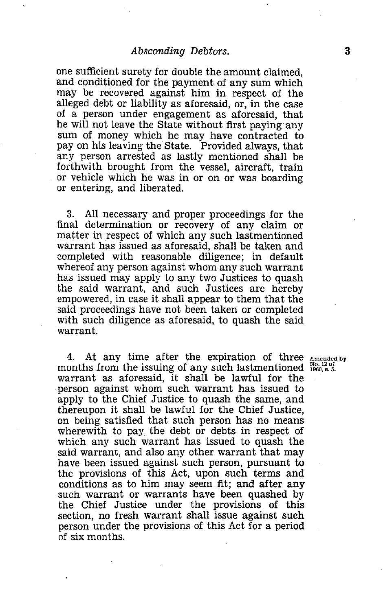*Absconding Debtors.*<br>
1993 The Section of the amount claimed,<br>
2014 The payment of any sum which<br>
2015 The payment of any sum which one sufficient surety for double the amount claimed, and conditioned for the payment of any sum which may be recovered against him in respect of the alleged debt or liability as aforesaid, or, in the case of a person under engagement as aforesaid, that he will not leave the State without first paying any sum of money which he may have contracted to pay on his leaving the State. Provided always, that any person arrested as lastly mentioned shall be forthwith brought from the vessel, aircraft, train or vehicle which he was in or on or was boarding or entering, and liberated.

3. All necessary and proper proceedings for the final determination or recovery of any claim or matter in respect of which any such lastmentioned warrant has issued as aforesaid, shall be taken and completed with reasonable diligence; in default whereof any person against whom any such warrant has issued may apply to any two Justices to quash the said warrant, and such Justices are hereby empowered, in case it shall appear to them that the said proceedings have not been taken or completed with such diligence as aforesaid, to quash the said warrant.

4. At any time after the expiration of three Amended by months from the issuing of any such lastmentioned  $\frac{N_{0.1201}}{1960.85}$ . warrant as aforesaid, it shall be lawful for the person against whom such warrant has issued to apply to the Chief Justice to quash the same, and thereupon it shall be lawful for the Chief Justice, on being satisfied that such person has no means wherewith to pay the debt or debts in respect of which any such warrant has issued to quash the said warrant, and also any other warrant that may have been issued against such person, pursuant to the provisions of this Act, upon such terms and conditions as to him may seem fit; and after any such warrant or warrants have been quashed by the Chief Justice under the provisions of this section, no fresh warrant shall issue against such person under the provisions of this Act for a period of six months.